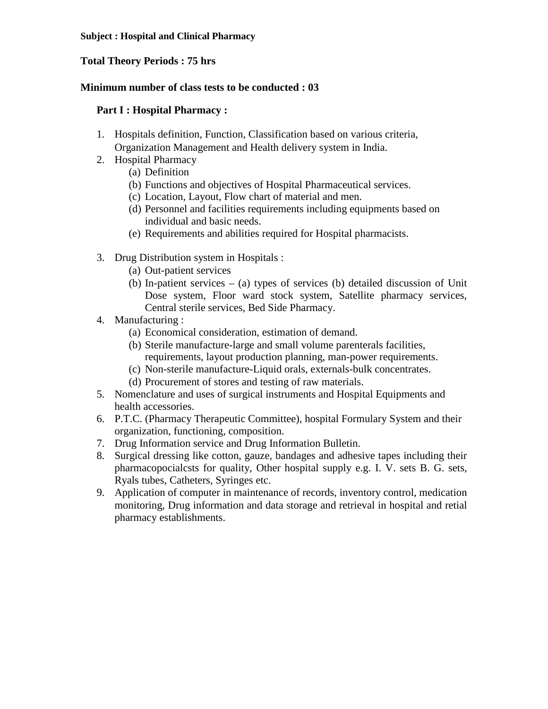## **Total Theory Periods : 75 hrs**

#### **Minimum number of class tests to be conducted : 03**

## **Part I : Hospital Pharmacy :**

- 1. Hospitals definition, Function, Classification based on various criteria, Organization Management and Health delivery system in India.
- 2. Hospital Pharmacy
	- (a) Definition
	- (b) Functions and objectives of Hospital Pharmaceutical services.
	- (c) Location, Layout, Flow chart of material and men.
	- (d) Personnel and facilities requirements including equipments based on individual and basic needs.
	- (e) Requirements and abilities required for Hospital pharmacists.
- 3. Drug Distribution system in Hospitals :
	- (a) Out-patient services
	- (b) In-patient services (a) types of services (b) detailed discussion of Unit Dose system, Floor ward stock system, Satellite pharmacy services, Central sterile services, Bed Side Pharmacy.
- 4. Manufacturing :
	- (a) Economical consideration, estimation of demand.
	- (b) Sterile manufacture-large and small volume parenterals facilities, requirements, layout production planning, man-power requirements.
	- (c) Non-sterile manufacture-Liquid orals, externals-bulk concentrates.
	- (d) Procurement of stores and testing of raw materials.
- 5. Nomenclature and uses of surgical instruments and Hospital Equipments and health accessories.
- 6. P.T.C. (Pharmacy Therapeutic Committee), hospital Formulary System and their organization, functioning, composition.
- 7. Drug Information service and Drug Information Bulletin.
- 8. Surgical dressing like cotton, gauze, bandages and adhesive tapes including their pharmacopocialcsts for quality, Other hospital supply e.g. I. V. sets B. G. sets, Ryals tubes, Catheters, Syringes etc.
- 9. Application of computer in maintenance of records, inventory control, medication monitoring, Drug information and data storage and retrieval in hospital and retial pharmacy establishments.